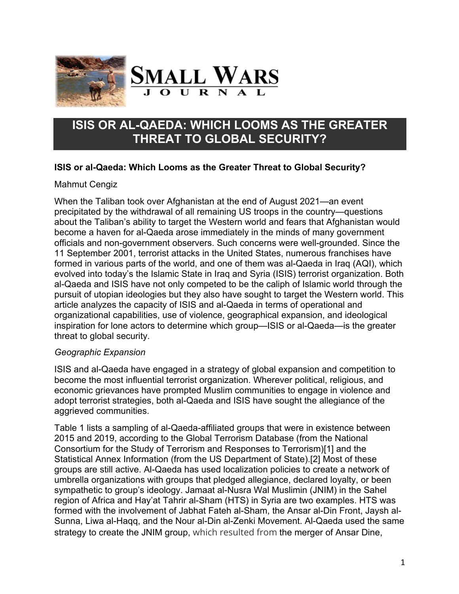



# **ISIS OR AL-QAEDA: WHICH LOOMS AS THE GREATER THREAT TO GLOBAL SECURITY?**

# **ISIS or al-Qaeda: Which Looms as the Greater Threat to Global Security?**

### Mahmut Cengiz

When the Taliban took over Afghanistan at the end of August 2021—an event precipitated by the withdrawal of all remaining US troops in the country—questions about the Taliban's ability to target the Western world and fears that Afghanistan would become a haven for al-Qaeda arose immediately in the minds of many government officials and non-government observers. Such concerns were well-grounded. Since the 11 September 2001, terrorist attacks in the United States, numerous franchises have formed in various parts of the world, and one of them was al-Qaeda in Iraq (AQI), which evolved into today's the Islamic State in Iraq and Syria (ISIS) terrorist organization. Both al-Qaeda and ISIS have not only competed to be the caliph of Islamic world through the pursuit of utopian ideologies but they also have sought to target the Western world. This article analyzes the capacity of ISIS and al-Qaeda in terms of operational and organizational capabilities, use of violence, geographical expansion, and ideological inspiration for lone actors to determine which group—ISIS or al-Qaeda—is the greater threat to global security.

### *Geographic Expansion*

ISIS and al-Qaeda have engaged in a strategy of global expansion and competition to become the most influential terrorist organization. Wherever political, religious, and economic grievances have prompted Muslim communities to engage in violence and adopt terrorist strategies, both al-Qaeda and ISIS have sought the allegiance of the aggrieved communities.

Table 1 lists a sampling of al-Qaeda-affiliated groups that were in existence between 2015 and 2019, according to the Global Terrorism Database (from the National Consortium for the Study of Terrorism and Responses to Terrorism)[1] and the Statistical Annex Information (from the US Department of State).[2] Most of these groups are still active. Al-Qaeda has used localization policies to create a network of umbrella organizations with groups that pledged allegiance, declared loyalty, or been sympathetic to group's ideology. Jamaat al-Nusra Wal Muslimin (JNIM) in the Sahel region of Africa and Hay'at Tahrir al-Sham (HTS) in Syria are two examples. HTS was formed with the involvement of Jabhat Fateh al-Sham, the Ansar al-Din Front, Jaysh al-Sunna, Liwa al-Haqq, and the Nour al-Din al-Zenki Movement. Al-Qaeda used the same strategy to create the JNIM group, which resulted from the merger of Ansar Dine,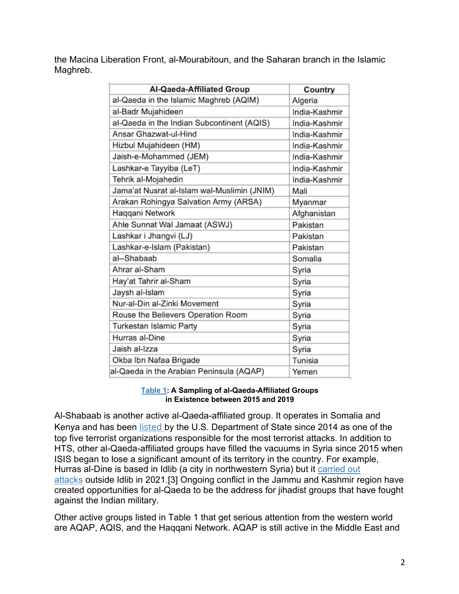the Macina Liberation Front, al-Mourabitoun, and the Saharan branch in the Islamic Maghreb.

| Al-Qaeda-Affiliated Group                   | Country       |
|---------------------------------------------|---------------|
| al-Qaeda in the Islamic Maghreb (AQIM)      | Algeria       |
| al-Badr Mujahideen                          | India-Kashmir |
| al-Qaeda in the Indian Subcontinent (AQIS)  | India-Kashmir |
| Ansar Ghazwat-ul-Hind                       | India-Kashmir |
| Hizbul Mujahideen (HM)                      | India-Kashmir |
| Jaish-e-Mohammed (JEM)                      | India-Kashmir |
| Lashkar-e Tayyiba (LeT)                     | India-Kashmir |
| Tehrik al-Mojahedin                         | India-Kashmir |
| Jama'at Nusrat al-Islam wal-Muslimin (JNIM) | Mali          |
| Arakan Rohingya Salvation Army (ARSA)       | Myanmar       |
| Haqqani Network                             | Afghanistan   |
| Ahle Sunnat Wal Jamaat (ASWJ)               | Pakistan      |
| Lashkar i Jhangvi (LJ)                      | Pakistan      |
| Lashkar-e-Islam (Pakistan)                  | Pakistan      |
| al--Shabaab                                 | Somalia       |
| Ahrar al-Sham                               | Syria         |
| Hay'at Tahrir al-Sham                       | Syria         |
| Jaysh al-Islam                              | Syria         |
| Nur-al-Din al-Zinki Movement                | Syria         |
| Rouse the Believers Operation Room          | Syria         |
| Turkestan Islamic Party                     | Syria         |
| Hurras al-Dine                              | Syria         |
| Jaish al-Izza                               | Syria         |
| Okba Ibn Nafaa Brigade                      | Tunisia       |
| al-Qaeda in the Arabian Peninsula (AQAP)    | Yemen         |

### **Table 1: A Sampling of al-Qaeda-Affiliated Groups in Existence between 2015 and 2019**

Al-Shabaab is another active al-Qaeda-affiliated group. It operates in Somalia and Kenya and has been listed by the U.S. Department of State since 2014 as one of the top five terrorist organizations responsible for the most terrorist attacks. In addition to HTS, other al-Qaeda-affiliated groups have filled the vacuums in Syria since 2015 when ISIS began to lose a significant amount of its territory in the country. For example, Hurras al-Dine is based in Idlib (a city in northwestern Syria) but it carried out attacks outside Idlib in 2021.[3] Ongoing conflict in the Jammu and Kashmir region have created opportunities for al-Qaeda to be the address for jihadist groups that have fought against the Indian military.

Other active groups listed in Table 1 that get serious attention from the western world are AQAP, AQIS, and the Haqqani Network. AQAP is still active in the Middle East and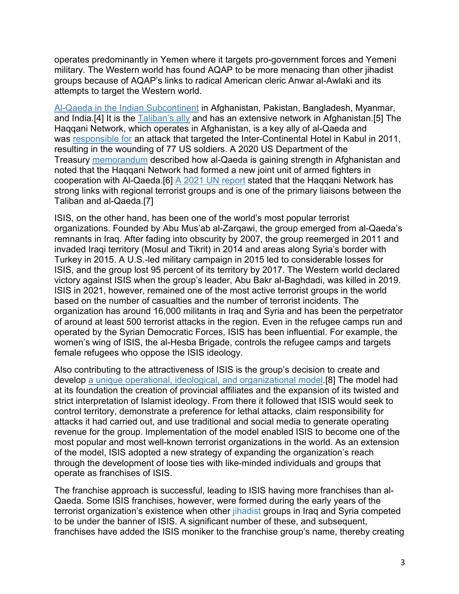operates predominantly in Yemen where it targets pro-government forces and Yemeni military. The Western world has found AQAP to be more menacing than other jihadist groups because of AQAP's links to radical American cleric Anwar al-Awlaki and its attempts to target the Western world.

Al-Qaeda in the Indian Subcontinent in Afghanistan, Pakistan, Bangladesh, Myanmar, and India.[4] It is the Taliban's ally and has an extensive network in Afghanistan.[5] The Haqqani Network, which operates in Afghanistan, is a key ally of al-Qaeda and was responsible for an attack that targeted the Inter-Continental Hotel in Kabul in 2011, resulting in the wounding of 77 US soldiers. A 2020 US Department of the Treasury memorandum described how al-Qaeda is gaining strength in Afghanistan and noted that the Haqqani Network had formed a new joint unit of armed fighters in cooperation with Al-Qaeda.[6] A 2021 UN report stated that the Haqqani Network has strong links with regional terrorist groups and is one of the primary liaisons between the Taliban and al-Qaeda.[7]

ISIS, on the other hand, has been one of the world's most popular terrorist organizations. Founded by Abu Mus'ab al-Zarqawi, the group emerged from al-Qaeda's remnants in Iraq. After fading into obscurity by 2007, the group reemerged in 2011 and invaded Iraqi territory (Mosul and Tikrit) in 2014 and areas along Syria's border with Turkey in 2015. A U.S.-led military campaign in 2015 led to considerable losses for ISIS, and the group lost 95 percent of its territory by 2017. The Western world declared victory against ISIS when the group's leader, Abu Bakr al-Baghdadi, was killed in 2019. ISIS in 2021, however, remained one of the most active terrorist groups in the world based on the number of casualties and the number of terrorist incidents. The organization has around 16,000 militants in Iraq and Syria and has been the perpetrator of around at least 500 terrorist attacks in the region. Even in the refugee camps run and operated by the Syrian Democratic Forces, ISIS has been influential. For example, the women's wing of ISIS, the al-Hesba Brigade, controls the refugee camps and targets female refugees who oppose the ISIS ideology.

Also contributing to the attractiveness of ISIS is the group's decision to create and develop a unique operational, ideological, and organizational model.[8] The model had at its foundation the creation of provincial affiliates and the expansion of its twisted and strict interpretation of Islamist ideology. From there it followed that ISIS would seek to control territory, demonstrate a preference for lethal attacks, claim responsibility for attacks it had carried out, and use traditional and social media to generate operating revenue for the group. Implementation of the model enabled ISIS to become one of the most popular and most well-known terrorist organizations in the world. As an extension of the model, ISIS adopted a new strategy of expanding the organization's reach through the development of loose ties with like-minded individuals and groups that operate as franchises of ISIS.

The franchise approach is successful, leading to ISIS having more franchises than al-Qaeda. Some ISIS franchises, however, were formed during the early years of the terrorist organization's existence when other *jihadist* groups in Iraq and Syria competed to be under the banner of ISIS. A significant number of these, and subsequent, franchises have added the ISIS moniker to the franchise group's name, thereby creating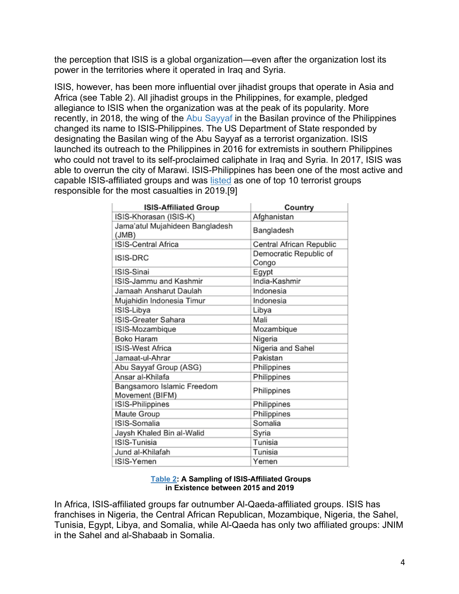the perception that ISIS is a global organization—even after the organization lost its power in the territories where it operated in Iraq and Syria.

ISIS, however, has been more influential over jihadist groups that operate in Asia and Africa (see Table 2). All jihadist groups in the Philippines, for example, pledged allegiance to ISIS when the organization was at the peak of its popularity. More recently, in 2018, the wing of the Abu Sayyaf in the Basilan province of the Philippines changed its name to ISIS-Philippines. The US Department of State responded by designating the Basilan wing of the Abu Sayyaf as a terrorist organization. ISIS launched its outreach to the Philippines in 2016 for extremists in southern Philippines who could not travel to its self-proclaimed caliphate in Iraq and Syria. In 2017, ISIS was able to overrun the city of Marawi. ISIS-Philippines has been one of the most active and capable ISIS-affiliated groups and was listed as one of top 10 terrorist groups responsible for the most casualties in 2019.[9]

| <b>ISIS-Affiliated Group</b>                  | Country                         |
|-----------------------------------------------|---------------------------------|
| ISIS-Khorasan (ISIS-K)                        | Afghanistan                     |
| Jama'atul Mujahideen Bangladesh<br>(JMB)      | Bangladesh                      |
| ISIS-Central Africa                           | Central African Republic        |
| ISIS-DRC                                      | Democratic Republic of<br>Congo |
| ISIS-Sinai                                    | Egypt                           |
| ISIS-Jammu and Kashmir                        | India-Kashmir                   |
| Jamaah Ansharut Daulah                        | Indonesia                       |
| Mujahidin Indonesia Timur                     | Indonesia                       |
| ISIS-Libya                                    | Libya                           |
| ISIS-Greater Sahara                           | Mali                            |
| ISIS-Mozambique                               | Mozambique                      |
| Boko Haram                                    | Nigeria                         |
| ISIS-West Africa                              | Nigeria and Sahel               |
| Jamaat-ul-Ahrar                               | Pakistan                        |
| Abu Sayyaf Group (ASG)                        | Philippines                     |
| Ansar al-Khilafa                              | Philippines                     |
| Bangsamoro Islamic Freedom<br>Movement (BIFM) | Philippines                     |
| ISIS-Philippines                              | Philippines                     |
| Maute Group                                   | Philippines                     |
| ISIS-Somalia                                  | Somalia                         |
| Jaysh Khaled Bin al-Walid                     | Syria                           |
| ISIS-Tunisia                                  | Tunisia                         |
| Jund al-Khilafah                              | Tunisia                         |
| ISIS-Yemen                                    | Yemen                           |

#### **Table 2: A Sampling of ISIS-Affiliated Groups in Existence between 2015 and 2019**

In Africa, ISIS-affiliated groups far outnumber Al-Qaeda-affiliated groups. ISIS has franchises in Nigeria, the Central African Republican, Mozambique, Nigeria, the Sahel, Tunisia, Egypt, Libya, and Somalia, while Al-Qaeda has only two affiliated groups: JNIM in the Sahel and al-Shabaab in Somalia.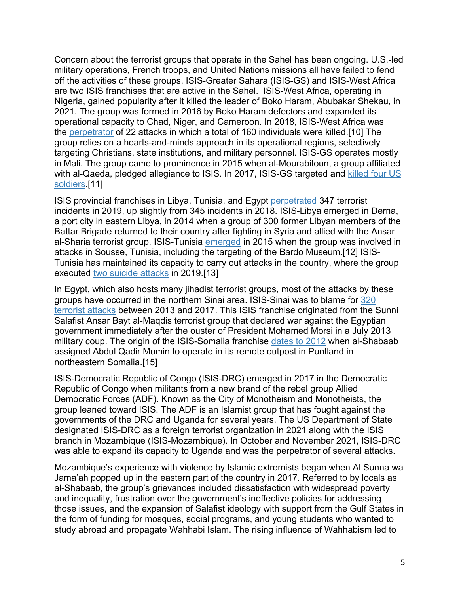Concern about the terrorist groups that operate in the Sahel has been ongoing. U.S.-led military operations, French troops, and United Nations missions all have failed to fend off the activities of these groups. ISIS-Greater Sahara (ISIS-GS) and ISIS-West Africa are two ISIS franchises that are active in the Sahel. ISIS-West Africa, operating in Nigeria, gained popularity after it killed the leader of Boko Haram, Abubakar Shekau, in 2021. The group was formed in 2016 by Boko Haram defectors and expanded its operational capacity to Chad, Niger, and Cameroon. In 2018, ISIS-West Africa was the perpetrator of 22 attacks in which a total of 160 individuals were killed.[10] The group relies on a hearts-and-minds approach in its operational regions, selectively targeting Christians, state institutions, and military personnel. ISIS-GS operates mostly in Mali. The group came to prominence in 2015 when al-Mourabitoun, a group affiliated with al-Qaeda, pledged allegiance to ISIS. In 2017, ISIS-GS targeted and killed four US soldiers.[11]

ISIS provincial franchises in Libya, Tunisia, and Egypt perpetrated 347 terrorist incidents in 2019, up slightly from 345 incidents in 2018. ISIS-Libya emerged in Derna, a port city in eastern Libya, in 2014 when a group of 300 former Libyan members of the Battar Brigade returned to their country after fighting in Syria and allied with the Ansar al-Sharia terrorist group. ISIS-Tunisia emerged in 2015 when the group was involved in attacks in Sousse, Tunisia, including the targeting of the Bardo Museum.[12] ISIS-Tunisia has maintained its capacity to carry out attacks in the country, where the group executed two suicide attacks in 2019.[13]

In Egypt, which also hosts many jihadist terrorist groups, most of the attacks by these groups have occurred in the northern Sinai area. ISIS-Sinai was to blame for 320 terrorist attacks between 2013 and 2017. This ISIS franchise originated from the Sunni Salafist Ansar Bayt al-Maqdis terrorist group that declared war against the Egyptian government immediately after the ouster of President Mohamed Morsi in a July 2013 military coup. The origin of the ISIS-Somalia franchise dates to 2012 when al-Shabaab assigned Abdul Qadir Mumin to operate in its remote outpost in Puntland in northeastern Somalia.[15]

ISIS-Democratic Republic of Congo (ISIS-DRC) emerged in 2017 in the Democratic Republic of Congo when militants from a new brand of the rebel group Allied Democratic Forces (ADF). Known as the City of Monotheism and Monotheists, the group leaned toward ISIS. The ADF is an Islamist group that has fought against the governments of the DRC and Uganda for several years. The US Department of State designated ISIS-DRC as a foreign terrorist organization in 2021 along with the ISIS branch in Mozambique (ISIS-Mozambique). In October and November 2021, ISIS-DRC was able to expand its capacity to Uganda and was the perpetrator of several attacks.

Mozambique's experience with violence by Islamic extremists began when Al Sunna wa Jama'ah popped up in the eastern part of the country in 2017. Referred to by locals as al-Shabaab, the group's grievances included dissatisfaction with widespread poverty and inequality, frustration over the government's ineffective policies for addressing those issues, and the expansion of Salafist ideology with support from the Gulf States in the form of funding for mosques, social programs, and young students who wanted to study abroad and propagate Wahhabi Islam. The rising influence of Wahhabism led to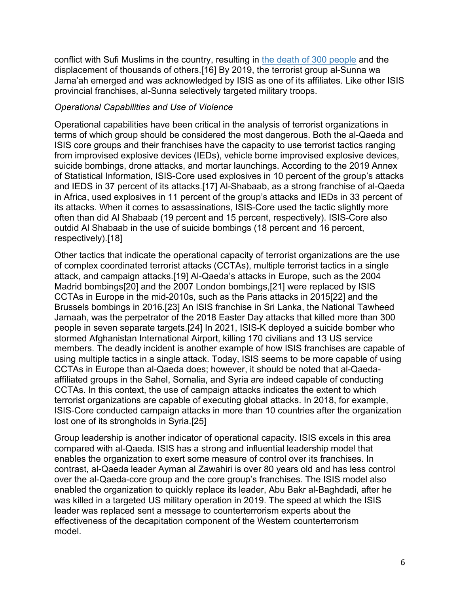conflict with Sufi Muslims in the country, resulting in the death of 300 people and the displacement of thousands of others.[16] By 2019, the terrorist group al-Sunna wa Jama'ah emerged and was acknowledged by ISIS as one of its affiliates. Like other ISIS provincial franchises, al-Sunna selectively targeted military troops.

### *Operational Capabilities and Use of Violence*

Operational capabilities have been critical in the analysis of terrorist organizations in terms of which group should be considered the most dangerous. Both the al-Qaeda and ISIS core groups and their franchises have the capacity to use terrorist tactics ranging from improvised explosive devices (IEDs), vehicle borne improvised explosive devices, suicide bombings, drone attacks, and mortar launchings. According to the 2019 Annex of Statistical Information, ISIS-Core used explosives in 10 percent of the group's attacks and IEDS in 37 percent of its attacks.[17] Al-Shabaab, as a strong franchise of al-Qaeda in Africa, used explosives in 11 percent of the group's attacks and IEDs in 33 percent of its attacks. When it comes to assassinations, ISIS-Core used the tactic slightly more often than did Al Shabaab (19 percent and 15 percent, respectively). ISIS-Core also outdid Al Shabaab in the use of suicide bombings (18 percent and 16 percent, respectively).[18]

Other tactics that indicate the operational capacity of terrorist organizations are the use of complex coordinated terrorist attacks (CCTAs), multiple terrorist tactics in a single attack, and campaign attacks.[19] Al-Qaeda's attacks in Europe, such as the 2004 Madrid bombings[20] and the 2007 London bombings,[21] were replaced by ISIS CCTAs in Europe in the mid-2010s, such as the Paris attacks in 2015[22] and the Brussels bombings in 2016.[23] An ISIS franchise in Sri Lanka, the National Tawheed Jamaah, was the perpetrator of the 2018 Easter Day attacks that killed more than 300 people in seven separate targets.[24] In 2021, ISIS-K deployed a suicide bomber who stormed Afghanistan International Airport, killing 170 civilians and 13 US service members. The deadly incident is another example of how ISIS franchises are capable of using multiple tactics in a single attack. Today, ISIS seems to be more capable of using CCTAs in Europe than al-Qaeda does; however, it should be noted that al-Qaedaaffiliated groups in the Sahel, Somalia, and Syria are indeed capable of conducting CCTAs. In this context, the use of campaign attacks indicates the extent to which terrorist organizations are capable of executing global attacks. In 2018, for example, ISIS-Core conducted campaign attacks in more than 10 countries after the organization lost one of its strongholds in Syria.[25]

Group leadership is another indicator of operational capacity. ISIS excels in this area compared with al-Qaeda. ISIS has a strong and influential leadership model that enables the organization to exert some measure of control over its franchises. In contrast, al-Qaeda leader Ayman al Zawahiri is over 80 years old and has less control over the al-Qaeda-core group and the core group's franchises. The ISIS model also enabled the organization to quickly replace its leader, Abu Bakr al-Baghdadi, after he was killed in a targeted US military operation in 2019. The speed at which the ISIS leader was replaced sent a message to counterterrorism experts about the effectiveness of the decapitation component of the Western counterterrorism model.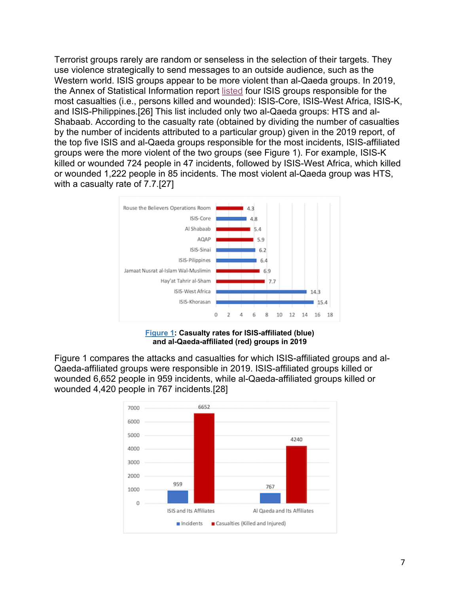Terrorist groups rarely are random or senseless in the selection of their targets. They use violence strategically to send messages to an outside audience, such as the Western world. ISIS groups appear to be more violent than al-Qaeda groups. In 2019, the Annex of Statistical Information report listed four ISIS groups responsible for the most casualties (i.e., persons killed and wounded): ISIS-Core, ISIS-West Africa, ISIS-K, and ISIS-Philippines.[26] This list included only two al-Qaeda groups: HTS and al-Shabaab. According to the casualty rate (obtained by dividing the number of casualties by the number of incidents attributed to a particular group) given in the 2019 report, of the top five ISIS and al-Qaeda groups responsible for the most incidents, ISIS-affiliated groups were the more violent of the two groups (see Figure 1). For example, ISIS-K killed or wounded 724 people in 47 incidents, followed by ISIS-West Africa, which killed or wounded 1,222 people in 85 incidents. The most violent al-Qaeda group was HTS, with a casualty rate of 7.7.[27]



**Figure 1: Casualty rates for ISIS-affiliated (blue) and al-Qaeda-affiliated (red) groups in 2019**

Figure 1 compares the attacks and casualties for which ISIS-affiliated groups and al-Qaeda-affiliated groups were responsible in 2019. ISIS-affiliated groups killed or wounded 6,652 people in 959 incidents, while al-Qaeda-affiliated groups killed or wounded 4,420 people in 767 incidents.[28]

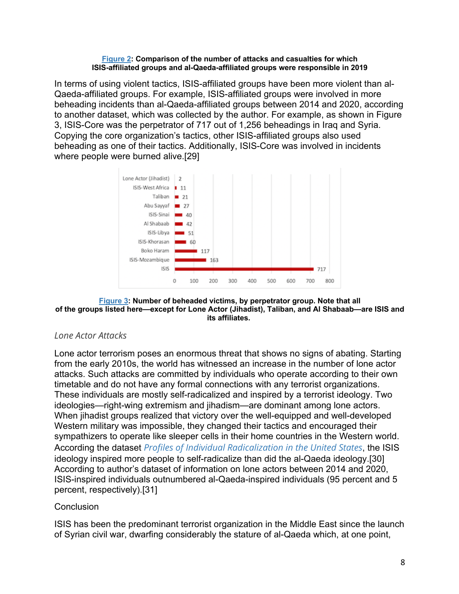#### **Figure 2: Comparison of the number of attacks and casualties for which ISIS-affiliated groups and al-Qaeda-affiliated groups were responsible in 2019**

In terms of using violent tactics, ISIS-affiliated groups have been more violent than al-Qaeda-affiliated groups. For example, ISIS-affiliated groups were involved in more beheading incidents than al-Qaeda-affiliated groups between 2014 and 2020, according to another dataset, which was collected by the author. For example, as shown in Figure 3, ISIS-Core was the perpetrator of 717 out of 1,256 beheadings in Iraq and Syria. Copying the core organization's tactics, other ISIS-affiliated groups also used beheading as one of their tactics. Additionally, ISIS-Core was involved in incidents where people were burned alive.[29]



#### **Figure 3: Number of beheaded victims, by perpetrator group. Note that all of the groups listed here—except for Lone Actor (Jihadist), Taliban, and Al Shabaab—are ISIS and its affiliates.**

# *Lone Actor Attacks*

Lone actor terrorism poses an enormous threat that shows no signs of abating. Starting from the early 2010s, the world has witnessed an increase in the number of lone actor attacks. Such attacks are committed by individuals who operate according to their own timetable and do not have any formal connections with any terrorist organizations. These individuals are mostly self-radicalized and inspired by a terrorist ideology. Two ideologies—right-wing extremism and jihadism—are dominant among lone actors. When jihadist groups realized that victory over the well-equipped and well-developed Western military was impossible, they changed their tactics and encouraged their sympathizers to operate like sleeper cells in their home countries in the Western world. According the dataset *Profiles of Individual Radicalization in the United States*, the ISIS ideology inspired more people to self-radicalize than did the al-Qaeda ideology.[30] According to author's dataset of information on lone actors between 2014 and 2020, ISIS-inspired individuals outnumbered al-Qaeda-inspired individuals (95 percent and 5 percent, respectively).[31]

# **Conclusion**

ISIS has been the predominant terrorist organization in the Middle East since the launch of Syrian civil war, dwarfing considerably the stature of al-Qaeda which, at one point,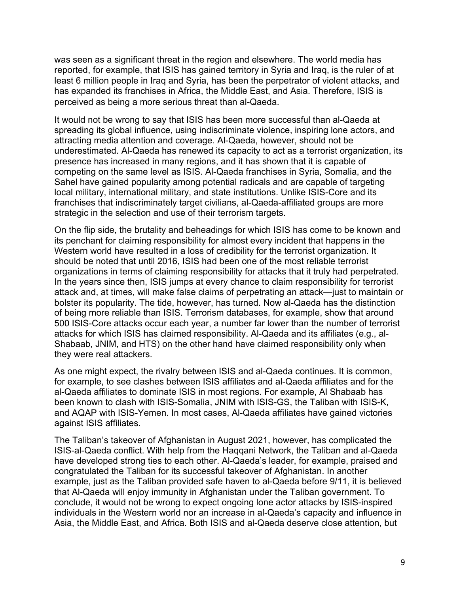was seen as a significant threat in the region and elsewhere. The world media has reported, for example, that ISIS has gained territory in Syria and Iraq, is the ruler of at least 6 million people in Iraq and Syria, has been the perpetrator of violent attacks, and has expanded its franchises in Africa, the Middle East, and Asia. Therefore, ISIS is perceived as being a more serious threat than al-Qaeda.

It would not be wrong to say that ISIS has been more successful than al-Qaeda at spreading its global influence, using indiscriminate violence, inspiring lone actors, and attracting media attention and coverage. Al-Qaeda, however, should not be underestimated. Al-Qaeda has renewed its capacity to act as a terrorist organization, its presence has increased in many regions, and it has shown that it is capable of competing on the same level as ISIS. Al-Qaeda franchises in Syria, Somalia, and the Sahel have gained popularity among potential radicals and are capable of targeting local military, international military, and state institutions. Unlike ISIS-Core and its franchises that indiscriminately target civilians, al-Qaeda-affiliated groups are more strategic in the selection and use of their terrorism targets.

On the flip side, the brutality and beheadings for which ISIS has come to be known and its penchant for claiming responsibility for almost every incident that happens in the Western world have resulted in a loss of credibility for the terrorist organization. It should be noted that until 2016, ISIS had been one of the most reliable terrorist organizations in terms of claiming responsibility for attacks that it truly had perpetrated. In the years since then, ISIS jumps at every chance to claim responsibility for terrorist attack and, at times, will make false claims of perpetrating an attack—just to maintain or bolster its popularity. The tide, however, has turned. Now al-Qaeda has the distinction of being more reliable than ISIS. Terrorism databases, for example, show that around 500 ISIS-Core attacks occur each year, a number far lower than the number of terrorist attacks for which ISIS has claimed responsibility. Al-Qaeda and its affiliates (e.g., al-Shabaab, JNIM, and HTS) on the other hand have claimed responsibility only when they were real attackers.

As one might expect, the rivalry between ISIS and al-Qaeda continues. It is common, for example, to see clashes between ISIS affiliates and al-Qaeda affiliates and for the al-Qaeda affiliates to dominate ISIS in most regions. For example, Al Shabaab has been known to clash with ISIS-Somalia, JNIM with ISIS-GS, the Taliban with ISIS-K, and AQAP with ISIS-Yemen. In most cases, Al-Qaeda affiliates have gained victories against ISIS affiliates.

The Taliban's takeover of Afghanistan in August 2021, however, has complicated the ISIS-al-Qaeda conflict. With help from the Haqqani Network, the Taliban and al-Qaeda have developed strong ties to each other. Al-Qaeda's leader, for example, praised and congratulated the Taliban for its successful takeover of Afghanistan. In another example, just as the Taliban provided safe haven to al-Qaeda before 9/11, it is believed that Al-Qaeda will enjoy immunity in Afghanistan under the Taliban government. To conclude, it would not be wrong to expect ongoing lone actor attacks by ISIS-inspired individuals in the Western world nor an increase in al-Qaeda's capacity and influence in Asia, the Middle East, and Africa. Both ISIS and al-Qaeda deserve close attention, but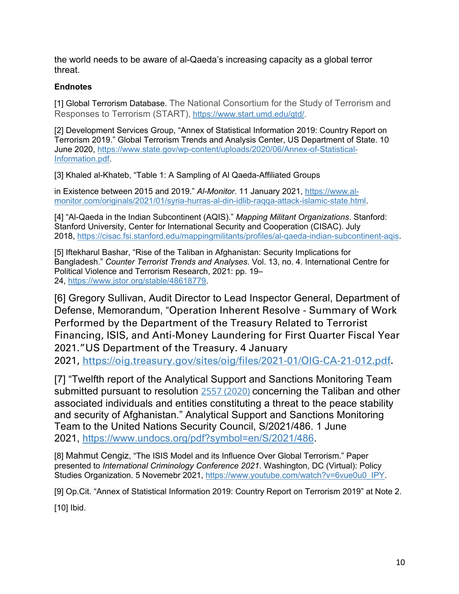the world needs to be aware of al-Qaeda's increasing capacity as a global terror threat.

## **Endnotes**

[1] Global Terrorism Database. The National Consortium for the Study of Terrorism and Responses to Terrorism (START), https://www.start.umd.edu/gtd/.

[2] Development Services Group, "Annex of Statistical Information 2019: Country Report on Terrorism 2019." Global Terrorism Trends and Analysis Center, US Department of State. 10 June 2020, https://www.state.gov/wp-content/uploads/2020/06/Annex-of-Statistical-Information.pdf.

[3] Khaled al-Khateb, "Table 1: A Sampling of Al Qaeda-Affiliated Groups

in Existence between 2015 and 2019." *Al-Monitor*. 11 January 2021, https://www.almonitor.com/originals/2021/01/syria-hurras-al-din-idlib-raqqa-attack-islamic-state.html.

[4] "Al-Qaeda in the Indian Subcontinent (AQIS)." *Mapping Militant Organizations*. Stanford: Stanford University, Center for International Security and Cooperation (CISAC). July 2018, https://cisac.fsi.stanford.edu/mappingmilitants/profiles/al-qaeda-indian-subcontinent-aqis.

[5] Iftekharul Bashar, "Rise of the Taliban in Afghanistan: Security Implications for Bangladesh." *Counter Terrorist Trends and Analyses*. Vol. 13, no. 4. International Centre for Political Violence and Terrorism Research, 2021: pp. 19– 24, https://www.jstor.org/stable/48618779.

[6] Gregory Sullivan, Audit Director to Lead Inspector General, Department of Defense, Memorandum, "Operation Inherent Resolve - Summary of Work Performed by the Department of the Treasury Related to Terrorist Financing, ISIS, and Anti-Money Laundering for First Quarter Fiscal Year 2021."US Department of the Treasury. 4 January 2021, https://oig.treasury.gov/sites/oig/files/2021-01/OIG-CA-21-012.pdf.

[7] "Twelfth report of the Analytical Support and Sanctions Monitoring Team submitted pursuant to resolution 2557 (2020) concerning the Taliban and other associated individuals and entities constituting a threat to the peace stability and security of Afghanistan." Analytical Support and Sanctions Monitoring Team to the United Nations Security Council, S/2021/486. 1 June 2021, https://www.undocs.org/pdf?symbol=en/S/2021/486.

[8] Mahmut Cengiz, "The ISIS Model and its Influence Over Global Terrorism." Paper presented to *International Criminology Conference 2021*. Washington, DC (Virtual): Policy Studies Organization. 5 Novemebr 2021, https://www.youtube.com/watch?v=6vue0u0\_IPY.

[9] Op.Cit. "Annex of Statistical Information 2019: Country Report on Terrorism 2019" at Note 2.

[10] Ibid.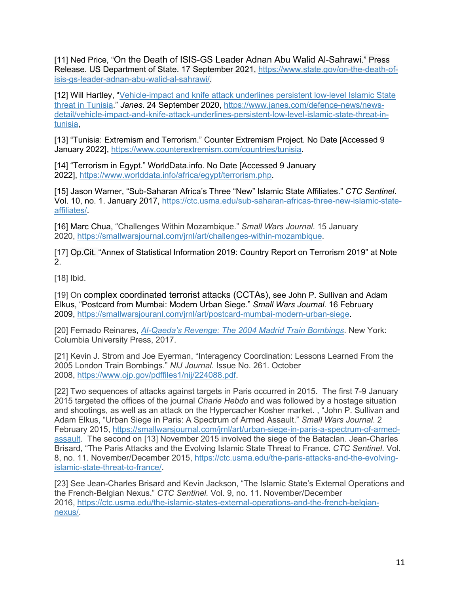[11] Ned Price, "On the Death of ISIS-GS Leader Adnan Abu Walid Al-Sahrawi." Press Release. US Department of State. 17 September 2021, https://www.state.gov/on-the-death-ofisis-gs-leader-adnan-abu-walid-al-sahrawi/.

[12] Will Hartley, "Vehicle-impact and knife attack underlines persistent low-level Islamic State threat in Tunisia." *Janes*. 24 September 2020, https://www.janes.com/defence-news/newsdetail/vehicle-impact-and-knife-attack-underlines-persistent-low-level-islamic-state-threat-intunisia,

[13] "Tunisia: Extremism and Terrorism." Counter Extremism Project. No Date [Accessed 9 January 2022], https://www.counterextremism.com/countries/tunisia.

[14] "Terrorism in Egypt." WorldData.info. No Date [Accessed 9 January 2022], https://www.worlddata.info/africa/egypt/terrorism.php.

[15] Jason Warner, "Sub-Saharan Africa's Three "New" Islamic State Affiliates." *CTC Sentinel*. Vol. 10, no. 1. January 2017, https://ctc.usma.edu/sub-saharan-africas-three-new-islamic-stateaffiliates/.

[16] Marc Chua, "Challenges Within Mozambique." *Small Wars Journal*. 15 January 2020, https://smallwarsjournal.com/jrnl/art/challenges-within-mozambique.

[17] Op.Cit. "Annex of Statistical Information 2019: Country Report on Terrorism 2019" at Note 2.

[18] Ibid.

[19] On complex coordinated terrorist attacks (CCTAs), see John P. Sullivan and Adam Elkus, "Postcard from Mumbai: Modern Urban Siege." *Small Wars Journal*. 16 February 2009, https://smallwarsjouranl.com/jrnl/art/postcard-mumbai-modern-urban-siege.

[20] Fernado Reinares, *Al-Qaeda's Revenge: The 2004 Madrid Train Bombings*. New York: Columbia University Press, 2017.

[21] Kevin J. Strom and Joe Eyerman, "Interagency Coordination: Lessons Learned From the 2005 London Train Bombings." *NIJ Journal*. Issue No. 261. October 2008, https://www.ojp.gov/pdffiles1/nij/224088.pdf.

[22] Two sequences of attacks against targets in Paris occurred in 2015. The first 7-9 January 2015 targeted the offices of the journal *Charie Hebdo* and was followed by a hostage situation and shootings, as well as an attack on the Hypercacher Kosher market. , "John P. Sullivan and Adam Elkus, "Urban Siege in Paris: A Spectrum of Armed Assault." *Small Wars Journal*. 2 February 2015, https://smallwarsjournal.com/jrnl/art/urban-siege-in-paris-a-spectrum-of-armedassault. The second on [13] November 2015 involved the siege of the Bataclan. Jean-Charles Brisard, "The Paris Attacks and the Evolving Islamic State Threat to France. *CTC Sentinel*. Vol. 8, no. 11. November/December 2015, https://ctc.usma.edu/the-paris-attacks-and-the-evolvingislamic-state-threat-to-france/.

[23] See Jean-Charles Brisard and Kevin Jackson, "The Islamic State's External Operations and the French-Belgian Nexus." *CTC Sentinel.* Vol. 9, no. 11. November/December 2016, https://ctc.usma.edu/the-islamic-states-external-operations-and-the-french-belgiannexus/.